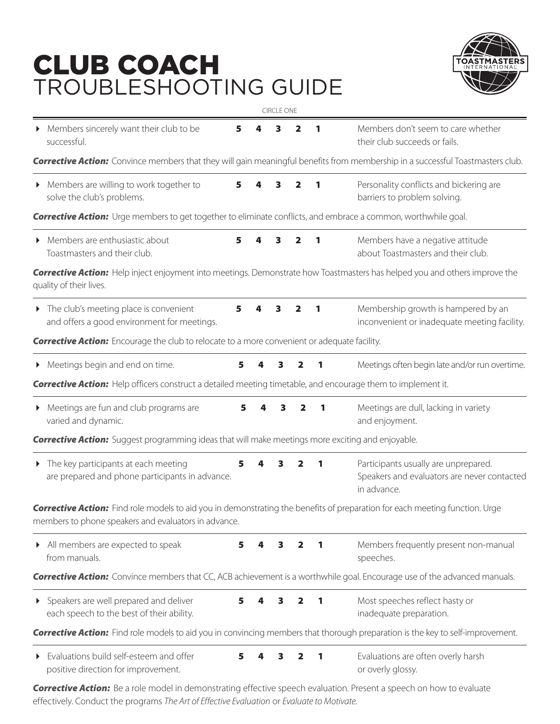## CLUB COACH TROUBLESHOOTING GUIDE



| <b>CIRCLE ONE</b>                                                                                                                                                                          |   |   |   |                         |   |                                                                                                    |  |  |  |
|--------------------------------------------------------------------------------------------------------------------------------------------------------------------------------------------|---|---|---|-------------------------|---|----------------------------------------------------------------------------------------------------|--|--|--|
| Members sincerely want their club to be<br>successful.                                                                                                                                     | 5 | 4 | 3 | $\overline{\mathbf{2}}$ | 1 | Members don't seem to care whether<br>their club succeeds or fails.                                |  |  |  |
| <b>Corrective Action:</b> Convince members that they will gain meaningful benefits from membership in a successful Toastmasters club.                                                      |   |   |   |                         |   |                                                                                                    |  |  |  |
| • Members are willing to work together to<br>solve the club's problems.                                                                                                                    | 5 |   | 3 | 2                       | 1 | Personality conflicts and bickering are<br>barriers to problem solving.                            |  |  |  |
| Corrective Action: Urge members to get together to eliminate conflicts, and embrace a common, worthwhile goal.                                                                             |   |   |   |                         |   |                                                                                                    |  |  |  |
| Members are enthusiastic about<br>Toastmasters and their club.                                                                                                                             | 5 |   | з | 2                       |   | Members have a negative attitude<br>about Toastmasters and their club.                             |  |  |  |
| <b>Corrective Action:</b> Help inject enjoyment into meetings. Demonstrate how Toastmasters has helped you and others improve the<br>quality of their lives.                               |   |   |   |                         |   |                                                                                                    |  |  |  |
| The club's meeting place is convenient<br>and offers a good environment for meetings.                                                                                                      | 5 |   | 3 | 2                       |   | Membership growth is hampered by an<br>inconvenient or inadequate meeting facility.                |  |  |  |
| <b>Corrective Action:</b> Encourage the club to relocate to a more convenient or adequate facility.                                                                                        |   |   |   |                         |   |                                                                                                    |  |  |  |
| Meetings begin and end on time.                                                                                                                                                            | 5 |   | 3 | 2                       |   | Meetings often begin late and/or run overtime.                                                     |  |  |  |
| Corrective Action: Help officers construct a detailed meeting timetable, and encourage them to implement it.                                                                               |   |   |   |                         |   |                                                                                                    |  |  |  |
| • Meetings are fun and club programs are<br>varied and dynamic.                                                                                                                            | 5 |   |   |                         |   | Meetings are dull, lacking in variety<br>and enjoyment.                                            |  |  |  |
| <b>Corrective Action:</b> Suggest programming ideas that will make meetings more exciting and enjoyable.                                                                                   |   |   |   |                         |   |                                                                                                    |  |  |  |
| The key participants at each meeting<br>are prepared and phone participants in advance.                                                                                                    | 5 |   |   | 2                       |   | Participants usually are unprepared.<br>Speakers and evaluators are never contacted<br>in advance. |  |  |  |
| <b>Corrective Action:</b> Find role models to aid you in demonstrating the benefits of preparation for each meeting function. Urge<br>members to phone speakers and evaluators in advance. |   |   |   |                         |   |                                                                                                    |  |  |  |
| All members are expected to speak<br>from manuals.                                                                                                                                         | 5 | 4 | 3 | $\mathbf{2}$            |   | Members frequently present non-manual<br>speeches.                                                 |  |  |  |
| <b>Corrective Action:</b> Convince members that CC, ACB achievement is a worthwhile goal. Encourage use of the advanced manuals.                                                           |   |   |   |                         |   |                                                                                                    |  |  |  |
| > Speakers are well prepared and deliver<br>each speech to the best of their ability.                                                                                                      | 5 |   | 3 | 2                       | 1 | Most speeches reflect hasty or<br>inadequate preparation.                                          |  |  |  |
| <b>Corrective Action:</b> Find role models to aid you in convincing members that thorough preparation is the key to self-improvement.                                                      |   |   |   |                         |   |                                                                                                    |  |  |  |
| Evaluations build self-esteem and offer<br>positive direction for improvement.                                                                                                             | 5 |   |   | 2                       | 1 | Evaluations are often overly harsh<br>or overly glossy.                                            |  |  |  |

**Corrective Action:** Be a role model in demonstrating effective speech evaluation. Present a speech on how to evaluate effectively. Conduct the programs *The Art of Effective Evaluation* or *Evaluate to Motivate.*